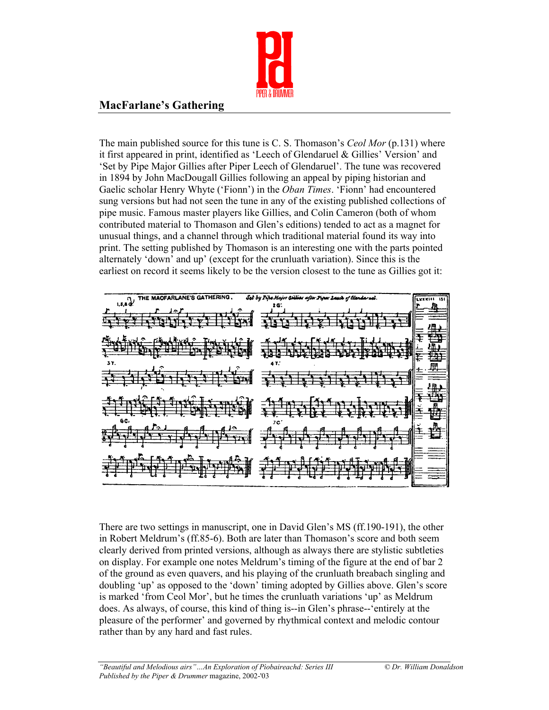

## **MacFarlane's Gathering**

The main published source for this tune is C. S. Thomason's *Ceol Mor* (p.131) where it first appeared in print, identified as 'Leech of Glendaruel & Gillies' Version' and 'Set by Pipe Major Gillies after Piper Leech of Glendaruel'. The tune was recovered in 1894 by John MacDougall Gillies following an appeal by piping historian and Gaelic scholar Henry Whyte ('Fionn') in the *Oban Times*. 'Fionn' had encountered sung versions but had not seen the tune in any of the existing published collections of pipe music. Famous master players like Gillies, and Colin Cameron (both of whom contributed material to Thomason and Glen's editions) tended to act as a magnet for unusual things, and a channel through which traditional material found its way into print. The setting published by Thomason is an interesting one with the parts pointed alternately 'down' and up' (except for the crunluath variation). Since this is the earliest on record it seems likely to be the version closest to the tune as Gillies got it:



There are two settings in manuscript, one in David Glen's MS (ff.190-191), the other in Robert Meldrum's (ff.85-6). Both are later than Thomason's score and both seem clearly derived from printed versions, although as always there are stylistic subtleties on display. For example one notes Meldrum's timing of the figure at the end of bar 2 of the ground as even quavers, and his playing of the crunluath breabach singling and doubling 'up' as opposed to the 'down' timing adopted by Gillies above. Glen's score is marked 'from Ceol Mor', but he times the crunluath variations 'up' as Meldrum does. As always, of course, this kind of thing is--in Glen's phrase--'entirely at the pleasure of the performer' and governed by rhythmical context and melodic contour rather than by any hard and fast rules.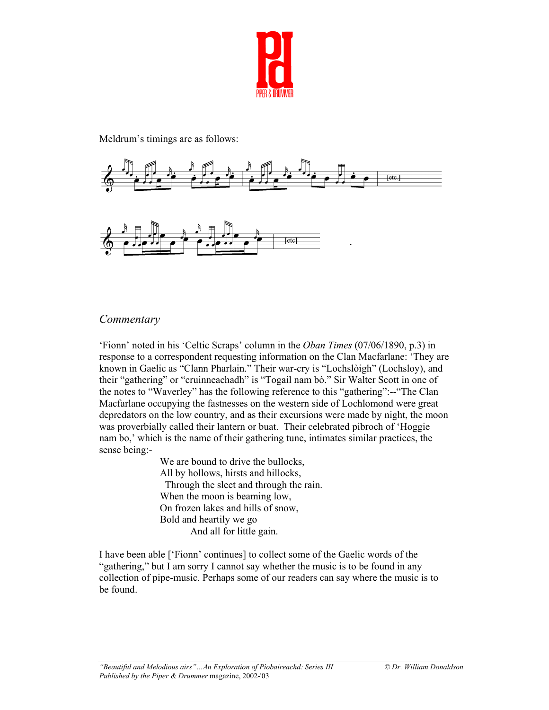

Meldrum's timings are as follows:



## *Commentary*

'Fionn' noted in his 'Celtic Scraps' column in the *Oban Times* (07/06/1890, p.3) in response to a correspondent requesting information on the Clan Macfarlane: 'They are known in Gaelic as "Clann Pharlain." Their war-cry is "Lochslòigh" (Lochsloy), and their "gathering" or "cruinneachadh" is "Togail nam bò." Sir Walter Scott in one of the notes to "Waverley" has the following reference to this "gathering":--"The Clan Macfarlane occupying the fastnesses on the western side of Lochlomond were great depredators on the low country, and as their excursions were made by night, the moon was proverbially called their lantern or buat. Their celebrated pibroch of 'Hoggie nam bo,' which is the name of their gathering tune, intimates similar practices, the sense being:-

> We are bound to drive the bullocks, All by hollows, hirsts and hillocks, Through the sleet and through the rain. When the moon is beaming low, On frozen lakes and hills of snow, Bold and heartily we go And all for little gain.

I have been able ['Fionn' continues] to collect some of the Gaelic words of the "gathering," but I am sorry I cannot say whether the music is to be found in any collection of pipe-music. Perhaps some of our readers can say where the music is to be found.